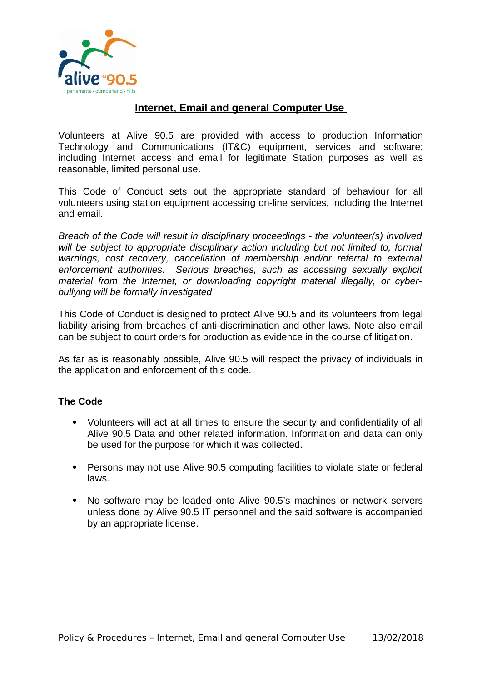

## **Internet, Email and general Computer Use**

Volunteers at Alive 90.5 are provided with access to production Information Technology and Communications (IT&C) equipment, services and software; including Internet access and email for legitimate Station purposes as well as reasonable, limited personal use.

This Code of Conduct sets out the appropriate standard of behaviour for all volunteers using station equipment accessing on-line services, including the Internet and email.

*Breach of the Code will result in disciplinary proceedings - the volunteer(s) involved will be subject to appropriate disciplinary action including but not limited to, formal warnings, cost recovery, cancellation of membership and/or referral to external enforcement authorities. Serious breaches, such as accessing sexually explicit material from the Internet, or downloading copyright material illegally, or cyberbullying will be formally investigated*

This Code of Conduct is designed to protect Alive 90.5 and its volunteers from legal liability arising from breaches of anti-discrimination and other laws. Note also email can be subject to court orders for production as evidence in the course of litigation.

As far as is reasonably possible, Alive 90.5 will respect the privacy of individuals in the application and enforcement of this code.

## **The Code**

- Volunteers will act at all times to ensure the security and confidentiality of all Alive 90.5 Data and other related information. Information and data can only be used for the purpose for which it was collected.
- Persons may not use Alive 90.5 computing facilities to violate state or federal laws.
- No software may be loaded onto Alive 90.5's machines or network servers unless done by Alive 90.5 IT personnel and the said software is accompanied by an appropriate license.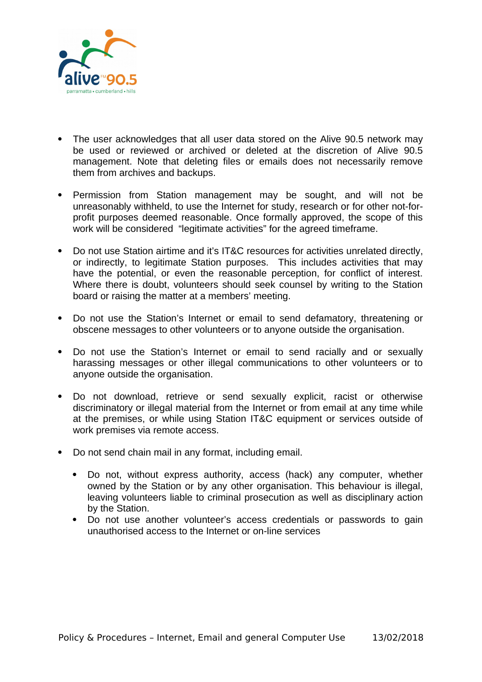

- The user acknowledges that all user data stored on the Alive 90.5 network may be used or reviewed or archived or deleted at the discretion of Alive 90.5 management. Note that deleting files or emails does not necessarily remove them from archives and backups.
- Permission from Station management may be sought, and will not be unreasonably withheld, to use the Internet for study, research or for other not-forprofit purposes deemed reasonable. Once formally approved, the scope of this work will be considered "legitimate activities" for the agreed timeframe.
- Do not use Station airtime and it's IT&C resources for activities unrelated directly, or indirectly, to legitimate Station purposes. This includes activities that may have the potential, or even the reasonable perception, for conflict of interest. Where there is doubt, volunteers should seek counsel by writing to the Station board or raising the matter at a members' meeting.
- Do not use the Station's Internet or email to send defamatory, threatening or obscene messages to other volunteers or to anyone outside the organisation.
- Do not use the Station's Internet or email to send racially and or sexually harassing messages or other illegal communications to other volunteers or to anyone outside the organisation.
- Do not download, retrieve or send sexually explicit, racist or otherwise discriminatory or illegal material from the Internet or from email at any time while at the premises, or while using Station IT&C equipment or services outside of work premises via remote access.
- Do not send chain mail in any format, including email.
	- Do not, without express authority, access (hack) any computer, whether owned by the Station or by any other organisation. This behaviour is illegal, leaving volunteers liable to criminal prosecution as well as disciplinary action by the Station.
	- Do not use another volunteer's access credentials or passwords to gain unauthorised access to the Internet or on-line services